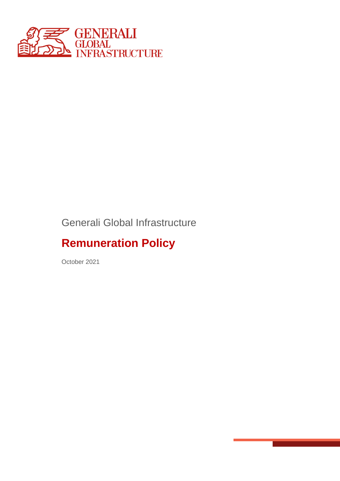

## Generali Global Infrastructure

# **Remuneration Policy**

October 2021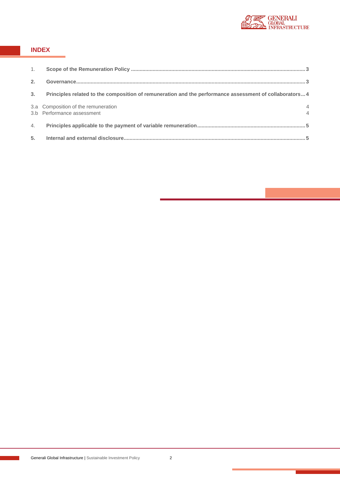

#### **INDEX**

| 1. |                                                                                                        |   |
|----|--------------------------------------------------------------------------------------------------------|---|
| 2. |                                                                                                        |   |
| 3. | Principles related to the composition of remuneration and the performance assessment of collaborators4 |   |
|    | 3.a Composition of the remuneration<br>3.b Performance assessment                                      | 4 |
| 4. |                                                                                                        |   |
|    |                                                                                                        |   |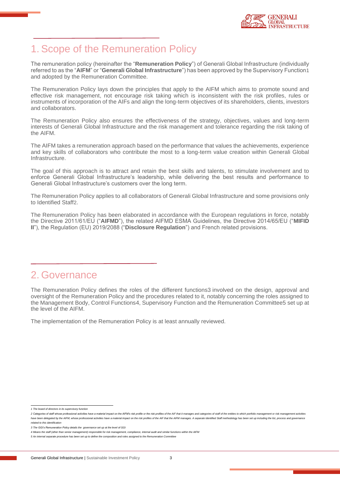

#### 1. Scope of the Remuneration Policy

The remuneration policy (hereinafter the "**Remuneration Policy**") of Generali Global Infrastructure (individually referred to as the "**AIFM**" or "**Generali Global Infrastructure**") has been approved by the Supervisory Function1 and adopted by the Remuneration Committee.

The Remuneration Policy lays down the principles that apply to the AIFM which aims to promote sound and effective risk management, not encourage risk taking which is inconsistent with the risk profiles, rules or instruments of incorporation of the AIFs and align the long-term objectives of its shareholders, clients, investors and collaborators.

The Remuneration Policy also ensures the effectiveness of the strategy, objectives, values and long-term interests of Generali Global Infrastructure and the risk management and tolerance regarding the risk taking of the AIFM.

The AIFM takes a remuneration approach based on the performance that values the achievements, experience and key skills of collaborators who contribute the most to a long-term value creation within Generali Global Infrastructure.

The goal of this approach is to attract and retain the best skills and talents, to stimulate involvement and to enforce Generali Global Infrastructure's leadership, while delivering the best results and performance to Generali Global Infrastructure's customers over the long term.

The Remuneration Policy applies to all collaborators of Generali Global Infrastructure and some provisions only to Identified Staff2.

The Remuneration Policy has been elaborated in accordance with the European regulations in force, notably the Directive 2011/61/EU ("**AIFMD**"), the related AIFMD ESMA Guidelines, the Directive 2014/65/EU ("**MIFID II**"), the Regulation (EU) 2019/2088 ("**Disclosure Regulation**") and French related provisions.

#### 2. Governance

The Remuneration Policy defines the roles of the different functions3 involved on the design, approval and oversight of the Remuneration Policy and the procedures related to it, notably concerning the roles assigned to the Management Body, Control Functions4, Supervisory Function and the Remuneration Committee5 set up at the level of the AIFM.

The implementation of the Remuneration Policy is at least annually reviewed.

*<sup>1</sup> The board of directors in its supervisory function*

<sup>2</sup> Categories of staff whose professional activities have a material impact on the AIFM's risk profile or the risk profiles of the AIF that it manages and categories of staff of the entities to which portfolio management or have been delegated by the AIFM, whose professional activities have a material impact on the risk profiles of the AIF that the AIFM manages. A separate Identified Staff methodology has been set up including the list, proce *related to this identification*

*<sup>3</sup> The GGI's Remuneration Policy details the governance set up at the level of GGI* 

*<sup>4</sup> Means the staff (other than senior management) responsible for risk management, compliance, internal audit and similar functions within the AIFM*

*<sup>5</sup> An internal separate procedure has been set up to define the composition and roles assigned to the Remuneration Committee*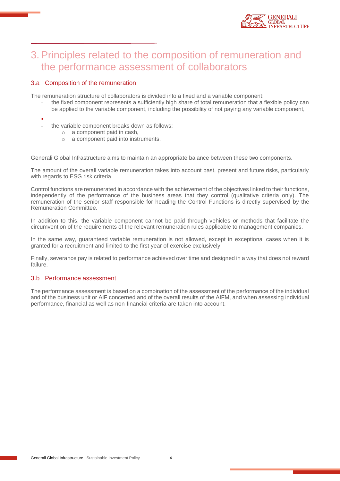

### 3. Principles related to the composition of remuneration and the performance assessment of collaborators

#### 3.a Composition of the remuneration

The remuneration structure of collaborators is divided into a fixed and a variable component:

- the fixed component represents a sufficiently high share of total remuneration that a flexible policy can be applied to the variable component, including the possibility of not paying any variable component,
- ▪
- the variable component breaks down as follows:
	- o a component paid in cash,
	- o a component paid into instruments.

Generali Global Infrastructure aims to maintain an appropriate balance between these two components.

The amount of the overall variable remuneration takes into account past, present and future risks, particularly with regards to ESG risk criteria.

Control functions are remunerated in accordance with the achievement of the objectives linked to their functions, independently of the performance of the business areas that they control (qualitative criteria only). The remuneration of the senior staff responsible for heading the Control Functions is directly supervised by the Remuneration Committee.

In addition to this, the variable component cannot be paid through vehicles or methods that facilitate the circumvention of the requirements of the relevant remuneration rules applicable to management companies.

In the same way, guaranteed variable remuneration is not allowed, except in exceptional cases when it is granted for a recruitment and limited to the first year of exercise exclusively.

Finally, severance pay is related to performance achieved over time and designed in a way that does not reward failure.

#### 3.b Performance assessment

The performance assessment is based on a combination of the assessment of the performance of the individual and of the business unit or AIF concerned and of the overall results of the AIFM, and when assessing individual performance, financial as well as non-financial criteria are taken into account.